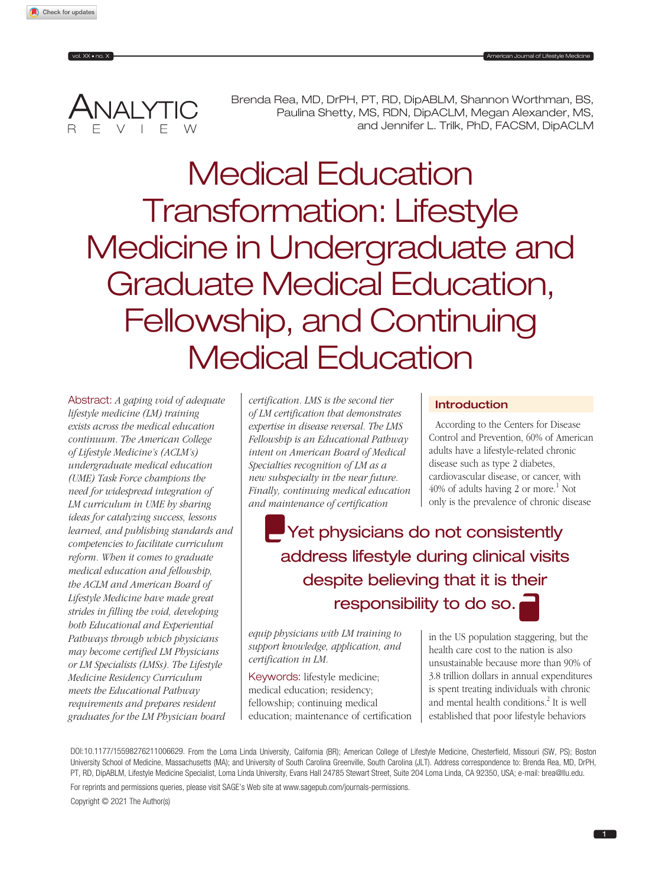ANALYTIC Brenda Rea, MD, DrPH, PT, RD, DipABLM, Shannon Worthman, BS,<br>Paulina Shetty, MS, RDN, DipACLM, Megan Alexander, MS, and Jennifer L. Trilk, PhD, FACSM, DipACLM

Medical Education Transformation: Lifestyle Medicine in Undergraduate and Graduate Medical Education, Fellowship, and Continuing Medical Education

Abstract: *A gaping void of adequate lifestyle medicine (LM) training exists across the medical education continuum. The American College of Lifestyle Medicine's (ACLM's) undergraduate medical education (UME) Task Force champions the need for widespread integration of LM curriculum in UME by sharing ideas for catalyzing success, lessons learned, and publishing standards and competencies to facilitate curriculum reform. When it comes to graduate medical education and fellowship, the ACLM and American Board of Lifestyle Medicine have made great strides in filling the void, developing both Educational and Experiential Pathways through which physicians may become certified LM Physicians or LM Specialists (LMSs). The Lifestyle Medicine Residency Curriculum meets the Educational Pathway requirements and prepares resident graduates for the LM Physician board* 

*certification. LMS is the second tier of LM certification that demonstrates expertise in disease reversal. The LMS Fellowship is an Educational Pathway intent on American Board of Medical Specialties recognition of LM as a new subspecialty in the near future. Finally, continuing medical education and maintenance of certification* 

# Introduction

According to the Centers for Disease Control and Prevention, 60% of American adults have a lifestyle-related chronic disease such as type 2 diabetes, cardiovascular disease, or cancer, with  $40\%$  of adults having 2 or more.<sup>1</sup> Not only is the prevalence of chronic disease

**P**Yet physicians do not consistently address lifestyle during clinical visits despite believing that it is their responsibility to do so.

*equip physicians with LM training to support knowledge, application, and certification in LM.*

Keywords: lifestyle medicine; medical education; residency; fellowship; continuing medical education; maintenance of certification

in the US population staggering, but the health care cost to the nation is also unsustainable because more than 90% of 3.8 trillion dollars in annual expenditures is spent treating individuals with chronic and mental health conditions.<sup>2</sup> It is well established that poor lifestyle behaviors

DOI:10.1177/15598276211006629. From the Loma Linda University, California (BR); American College of Lifestyle Medicine, Chesterfield, Missouri (SW, PS); Boston University School of Medicine, Massachusetts (MA); and University of South Carolina Greenville, South Carolina (JLT). Address correspondence to: Brenda Rea, MD, DrPH, PT, RD, DipABLM, Lifestyle Medicine Specialist, Loma Linda University, Evans Hall 24785 Stewart Street, Suite 204 Loma Linda, CA 92350, USA; e-mail: [brea@llu.edu.](mailto:brea@llu.edu)

For reprints and permissions queries, please visit SAGE's Web site at [www.sagepub.com/journals-permissions](https://www.sagepub.com/journals-permissions).

Copyright © 2021 The Author(s)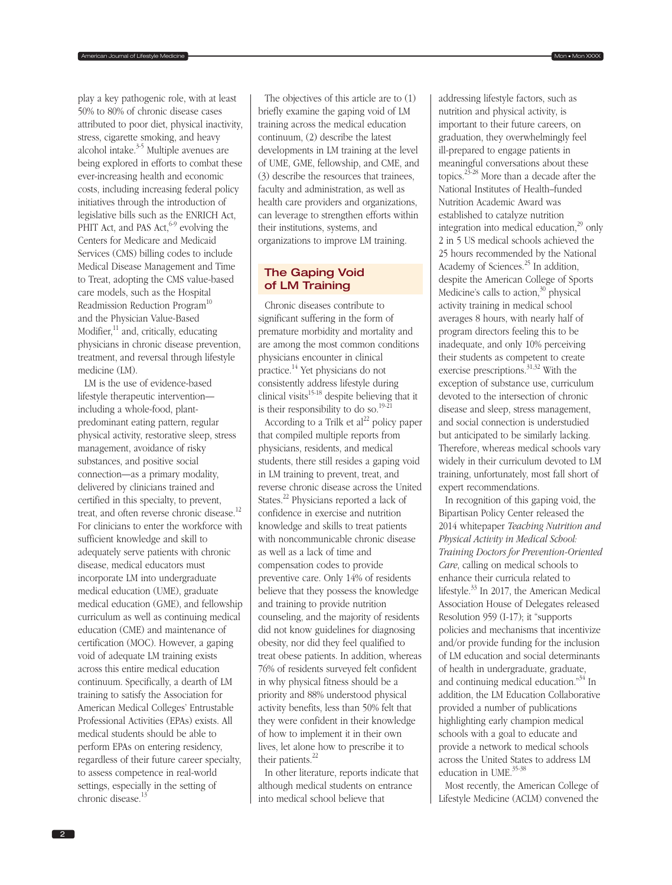play a key pathogenic role, with at least 50% to 80% of chronic disease cases attributed to poor diet, physical inactivity, stress, cigarette smoking, and heavy alcohol intake.<sup>3-5</sup> Multiple avenues are being explored in efforts to combat these ever-increasing health and economic costs, including increasing federal policy initiatives through the introduction of legislative bills such as the ENRICH Act, PHIT Act, and PAS Act,  $6-9$  evolving the Centers for Medicare and Medicaid Services (CMS) billing codes to include Medical Disease Management and Time to Treat, adopting the CMS value-based care models, such as the Hospital Readmission Reduction Program<sup>10</sup> and the Physician Value-Based Modifier, $11$  and, critically, educating physicians in chronic disease prevention, treatment, and reversal through lifestyle medicine (LM).

LM is the use of evidence-based lifestyle therapeutic intervention including a whole-food, plantpredominant eating pattern, regular physical activity, restorative sleep, stress management, avoidance of risky substances, and positive social connection—as a primary modality, delivered by clinicians trained and certified in this specialty, to prevent, treat, and often reverse chronic disease.<sup>12</sup> For clinicians to enter the workforce with sufficient knowledge and skill to adequately serve patients with chronic disease, medical educators must incorporate LM into undergraduate medical education (UME), graduate medical education (GME), and fellowship curriculum as well as continuing medical education (CME) and maintenance of certification (MOC). However, a gaping void of adequate LM training exists across this entire medical education continuum. Specifically, a dearth of LM training to satisfy the Association for American Medical Colleges' Entrustable Professional Activities (EPAs) exists. All medical students should be able to perform EPAs on entering residency, regardless of their future career specialty, to assess competence in real-world settings, especially in the setting of chronic disease.<sup>13</sup>

The objectives of this article are to (1) briefly examine the gaping void of LM training across the medical education continuum, (2) describe the latest developments in LM training at the level of UME, GME, fellowship, and CME, and (3) describe the resources that trainees, faculty and administration, as well as health care providers and organizations, can leverage to strengthen efforts within their institutions, systems, and organizations to improve LM training.

## The Gaping Void of LM Training

Chronic diseases contribute to significant suffering in the form of premature morbidity and mortality and are among the most common conditions physicians encounter in clinical practice.14 Yet physicians do not consistently address lifestyle during clinical visits<sup>15-18</sup> despite believing that it is their responsibility to do so.<sup>19-21</sup>

According to a Trilk et  $al^{22}$  policy paper that compiled multiple reports from physicians, residents, and medical students, there still resides a gaping void in LM training to prevent, treat, and reverse chronic disease across the United States.22 Physicians reported a lack of confidence in exercise and nutrition knowledge and skills to treat patients with noncommunicable chronic disease as well as a lack of time and compensation codes to provide preventive care. Only 14% of residents believe that they possess the knowledge and training to provide nutrition counseling, and the majority of residents did not know guidelines for diagnosing obesity, nor did they feel qualified to treat obese patients. In addition, whereas 76% of residents surveyed felt confident in why physical fitness should be a priority and 88% understood physical activity benefits, less than 50% felt that they were confident in their knowledge of how to implement it in their own lives, let alone how to prescribe it to their patients.<sup>22</sup>

In other literature, reports indicate that although medical students on entrance into medical school believe that

addressing lifestyle factors, such as nutrition and physical activity, is important to their future careers, on graduation, they overwhelmingly feel ill-prepared to engage patients in meaningful conversations about these topics. $2^{3-28}$  More than a decade after the National Institutes of Health–funded Nutrition Academic Award was established to catalyze nutrition integration into medical education, $^{29}$  only 2 in 5 US medical schools achieved the 25 hours recommended by the National Academy of Sciences.<sup>25</sup> In addition, despite the American College of Sports Medicine's calls to action, $30$  physical activity training in medical school averages 8 hours, with nearly half of program directors feeling this to be inadequate, and only 10% perceiving their students as competent to create exercise prescriptions.<sup>31,32</sup> With the exception of substance use, curriculum devoted to the intersection of chronic disease and sleep, stress management, and social connection is understudied but anticipated to be similarly lacking. Therefore, whereas medical schools vary widely in their curriculum devoted to LM training, unfortunately, most fall short of expert recommendations.

In recognition of this gaping void, the Bipartisan Policy Center released the 2014 whitepaper *Teaching Nutrition and Physical Activity in Medical School: Training Doctors for Prevention-Oriented Care*, calling on medical schools to enhance their curricula related to lifestyle.<sup>33</sup> In 2017, the American Medical Association House of Delegates released Resolution 959 (I-17); it "supports policies and mechanisms that incentivize and/or provide funding for the inclusion of LM education and social determinants of health in undergraduate, graduate, and continuing medical education."34 In addition, the LM Education Collaborative provided a number of publications highlighting early champion medical schools with a goal to educate and provide a network to medical schools across the United States to address LM education in UME.<sup>35-38</sup>

Most recently, the American College of Lifestyle Medicine (ACLM) convened the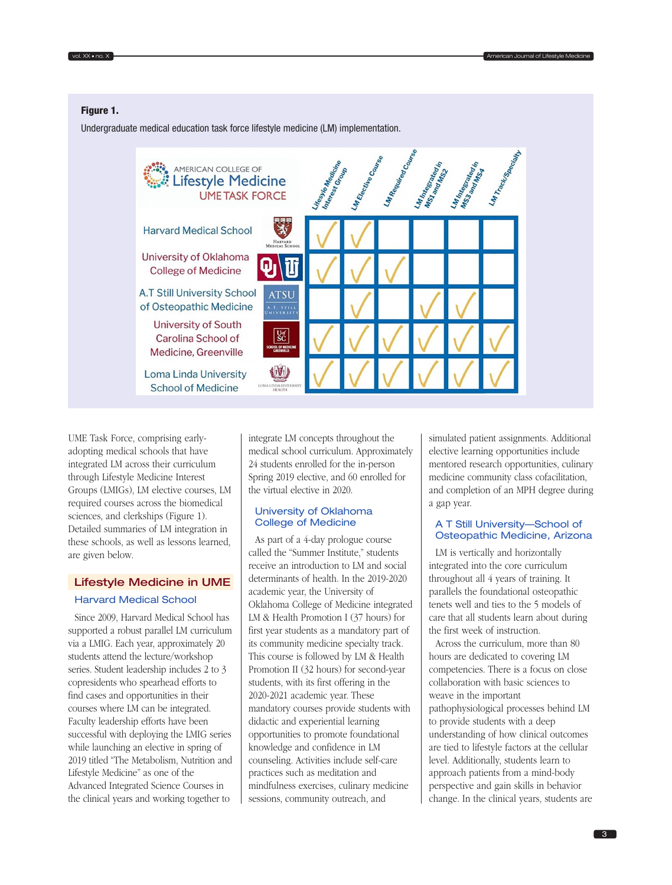# Figure 1.

Undergraduate medical education task force lifestyle medicine (LM) implementation.



UME Task Force, comprising earlyadopting medical schools that have integrated LM across their curriculum through Lifestyle Medicine Interest Groups (LMIGs), LM elective courses, LM required courses across the biomedical sciences, and clerkships (Figure 1). Detailed summaries of LM integration in these schools, as well as lessons learned, are given below.

# Lifestyle Medicine in UME

#### Harvard Medical School

Since 2009, Harvard Medical School has supported a robust parallel LM curriculum via a LMIG. Each year, approximately 20 students attend the lecture/workshop series. Student leadership includes 2 to 3 copresidents who spearhead efforts to find cases and opportunities in their courses where LM can be integrated. Faculty leadership efforts have been successful with deploying the LMIG series while launching an elective in spring of 2019 titled "The Metabolism, Nutrition and Lifestyle Medicine" as one of the Advanced Integrated Science Courses in the clinical years and working together to

integrate LM concepts throughout the medical school curriculum. Approximately 24 students enrolled for the in-person Spring 2019 elective, and 60 enrolled for the virtual elective in 2020.

## University of Oklahoma College of Medicine

As part of a 4-day prologue course called the "Summer Institute," students receive an introduction to LM and social determinants of health. In the 2019-2020 academic year, the University of Oklahoma College of Medicine integrated LM & Health Promotion I (37 hours) for first year students as a mandatory part of its community medicine specialty track. This course is followed by LM & Health Promotion II (32 hours) for second-year students, with its first offering in the 2020-2021 academic year. These mandatory courses provide students with didactic and experiential learning opportunities to promote foundational knowledge and confidence in LM counseling. Activities include self-care practices such as meditation and mindfulness exercises, culinary medicine sessions, community outreach, and

simulated patient assignments. Additional elective learning opportunities include mentored research opportunities, culinary medicine community class cofacilitation, and completion of an MPH degree during a gap year.

### A T Still University—School of Osteopathic Medicine, Arizona

LM is vertically and horizontally integrated into the core curriculum throughout all 4 years of training. It parallels the foundational osteopathic tenets well and ties to the 5 models of care that all students learn about during the first week of instruction.

Across the curriculum, more than 80 hours are dedicated to covering LM competencies. There is a focus on close collaboration with basic sciences to weave in the important pathophysiological processes behind LM to provide students with a deep understanding of how clinical outcomes are tied to lifestyle factors at the cellular level. Additionally, students learn to approach patients from a mind-body perspective and gain skills in behavior change. In the clinical years, students are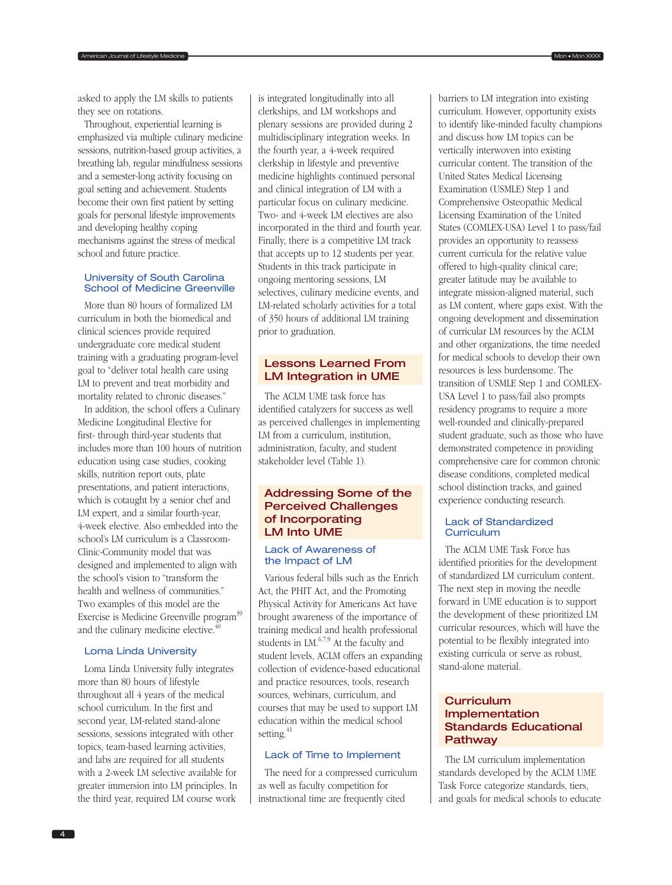Throughout, experiential learning is emphasized via multiple culinary medicine sessions, nutrition-based group activities, a breathing lab, regular mindfulness sessions and a semester-long activity focusing on goal setting and achievement. Students become their own first patient by setting goals for personal lifestyle improvements and developing healthy coping mechanisms against the stress of medical school and future practice.

### University of South Carolina School of Medicine Greenville

More than 80 hours of formalized LM curriculum in both the biomedical and clinical sciences provide required undergraduate core medical student training with a graduating program-level goal to "deliver total health care using LM to prevent and treat morbidity and mortality related to chronic diseases."

In addition, the school offers a Culinary Medicine Longitudinal Elective for first- through third-year students that includes more than 100 hours of nutrition education using case studies, cooking skills, nutrition report outs, plate presentations, and patient interactions, which is cotaught by a senior chef and LM expert, and a similar fourth-year, 4-week elective. Also embedded into the school's LM curriculum is a Classroom-Clinic-Community model that was designed and implemented to align with the school's vision to "transform the health and wellness of communities." Two examples of this model are the Exercise is Medicine Greenville program<sup>39</sup> and the culinary medicine elective. $40$ 

# Loma Linda University

Loma Linda University fully integrates more than 80 hours of lifestyle throughout all 4 years of the medical school curriculum. In the first and second year, LM-related stand-alone sessions, sessions integrated with other topics, team-based learning activities, and labs are required for all students with a 2-week LM selective available for greater immersion into LM principles. In the third year, required LM course work

is integrated longitudinally into all clerkships, and LM workshops and plenary sessions are provided during 2 multidisciplinary integration weeks. In the fourth year, a 4-week required clerkship in lifestyle and preventive medicine highlights continued personal and clinical integration of LM with a particular focus on culinary medicine. Two- and 4-week LM electives are also incorporated in the third and fourth year. Finally, there is a competitive LM track that accepts up to 12 students per year. Students in this track participate in ongoing mentoring sessions, LM selectives, culinary medicine events, and LM-related scholarly activities for a total of 350 hours of additional LM training prior to graduation.

American Journal of Lifestyle Medicine **Mon American American Control of Life Structure Mon + Mon + Mon XXXX** Mon **Mon XXXX** Medicine Mon + Mon + Mon XXXX Medicine Mon + Mon + Mon + Mon XXXX Medicine Mon + Mon + Mon + Mon

# Lessons Learned From LM Integration in UME

The ACLM UME task force has identified catalyzers for success as well as perceived challenges in implementing LM from a curriculum, institution, administration, faculty, and student stakeholder level (Table 1).

# Addressing Some of the Perceived Challenges of Incorporating LM Into UME

## Lack of Awareness of the Impact of LM

Various federal bills such as the Enrich Act, the PHIT Act, and the Promoting Physical Activity for Americans Act have brought awareness of the importance of training medical and health professional students in LM.6,7,9 At the faculty and student levels, ACLM offers an expanding collection of evidence-based educational and practice resources, tools, research sources, webinars, curriculum, and courses that may be used to support LM education within the medical school setting.<sup>41</sup>

# Lack of Time to Implement

The need for a compressed curriculum as well as faculty competition for instructional time are frequently cited

barriers to LM integration into existing curriculum. However, opportunity exists to identify like-minded faculty champions and discuss how LM topics can be vertically interwoven into existing curricular content. The transition of the United States Medical Licensing Examination (USMLE) Step 1 and Comprehensive Osteopathic Medical Licensing Examination of the United States (COMLEX-USA) Level 1 to pass/fail provides an opportunity to reassess current curricula for the relative value offered to high-quality clinical care; greater latitude may be available to integrate mission-aligned material, such as LM content, where gaps exist. With the ongoing development and dissemination of curricular LM resources by the ACLM and other organizations, the time needed for medical schools to develop their own resources is less burdensome. The transition of USMLE Step 1 and COMLEX-USA Level 1 to pass/fail also prompts residency programs to require a more well-rounded and clinically-prepared student graduate, such as those who have demonstrated competence in providing comprehensive care for common chronic disease conditions, completed medical school distinction tracks, and gained experience conducting research.

# Lack of Standardized Curriculum

The ACLM UME Task Force has identified priorities for the development of standardized LM curriculum content. The next step in moving the needle forward in UME education is to support the development of these prioritized LM curricular resources, which will have the potential to be flexibly integrated into existing curricula or serve as robust, stand-alone material.

# **Curriculum** Implementation Standards Educational **Pathway**

The LM curriculum implementation standards developed by the ACLM UME Task Force categorize standards, tiers, and goals for medical schools to educate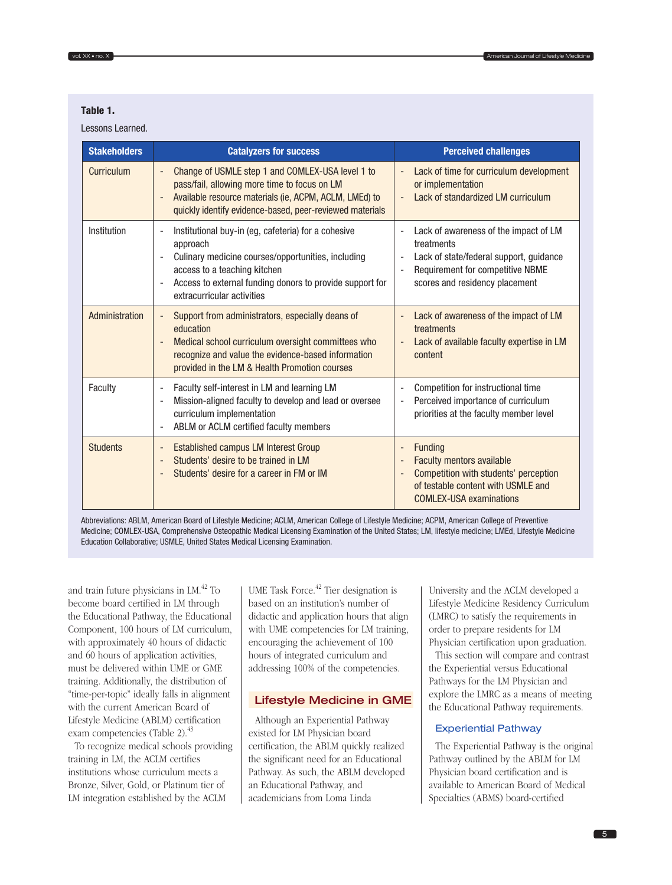# Table 1.

Lessons Learned.

| <b>Stakeholders</b> | <b>Catalyzers for success</b>                                                                                                                                                                                                                                                            | <b>Perceived challenges</b>                                                                                                                                                                       |
|---------------------|------------------------------------------------------------------------------------------------------------------------------------------------------------------------------------------------------------------------------------------------------------------------------------------|---------------------------------------------------------------------------------------------------------------------------------------------------------------------------------------------------|
| Curriculum          | Change of USMLE step 1 and COMLEX-USA level 1 to<br>pass/fail, allowing more time to focus on LM<br>Available resource materials (ie, ACPM, ACLM, LMEd) to<br>quickly identify evidence-based, peer-reviewed materials                                                                   | Lack of time for curriculum development<br>or implementation<br>Lack of standardized LM curriculum                                                                                                |
| Institution         | Institutional buy-in (eg, cafeteria) for a cohesive<br>$\overline{a}$<br>approach<br>Culinary medicine courses/opportunities, including<br>$\overline{a}$<br>access to a teaching kitchen<br>Access to external funding donors to provide support for<br>÷<br>extracurricular activities | Lack of awareness of the impact of LM<br>treatments<br>Lack of state/federal support, guidance<br>$\overline{a}$<br>Requirement for competitive NBME<br>scores and residency placement            |
| Administration      | Support from administrators, especially deans of<br>$\overline{\phantom{0}}$<br>education<br>Medical school curriculum oversight committees who<br>$\overline{a}$<br>recognize and value the evidence-based information<br>provided in the LM & Health Promotion courses                 | Lack of awareness of the impact of LM<br>treatments<br>Lack of available faculty expertise in LM<br>content                                                                                       |
| Faculty             | Faculty self-interest in LM and learning LM<br>$\overline{\phantom{m}}$<br>Mission-aligned faculty to develop and lead or oversee<br>$\overline{a}$<br>curriculum implementation<br>ABLM or ACLM certified faculty members<br>$\overline{\phantom{m}}$                                   | Competition for instructional time<br>$\overline{\phantom{a}}$<br>Perceived importance of curriculum<br>$\overline{\phantom{m}}$<br>priorities at the faculty member level                        |
| <b>Students</b>     | <b>Established campus LM Interest Group</b><br>$\overline{\phantom{0}}$<br>Students' desire to be trained in LM<br>Students' desire for a career in FM or IM                                                                                                                             | Funding<br>-<br><b>Faculty mentors available</b><br>$\qquad \qquad \blacksquare$<br>Competition with students' perception<br>of testable content with USMLE and<br><b>COMLEX-USA examinations</b> |

Abbreviations: ABLM, American Board of Lifestyle Medicine; ACLM, American College of Lifestyle Medicine; ACPM, American College of Preventive Medicine; COMLEX-USA, Comprehensive Osteopathic Medical Licensing Examination of the United States; LM, lifestyle medicine; LMEd, Lifestyle Medicine Education Collaborative; USMLE, United States Medical Licensing Examination.

and train future physicians in LM.<sup>42</sup> To become board certified in LM through the Educational Pathway, the Educational Component, 100 hours of LM curriculum, with approximately 40 hours of didactic and 60 hours of application activities, must be delivered within UME or GME training. Additionally, the distribution of "time-per-topic" ideally falls in alignment with the current American Board of Lifestyle Medicine (ABLM) certification exam competencies (Table 2).<sup>43</sup>

To recognize medical schools providing training in LM, the ACLM certifies institutions whose curriculum meets a Bronze, Silver, Gold, or Platinum tier of LM integration established by the ACLM

UME Task Force.<sup>42</sup> Tier designation is based on an institution's number of didactic and application hours that align with UME competencies for LM training, encouraging the achievement of 100 hours of integrated curriculum and addressing 100% of the competencies.

#### Lifestyle Medicine in GME

Although an Experiential Pathway existed for LM Physician board certification, the ABLM quickly realized the significant need for an Educational Pathway. As such, the ABLM developed an Educational Pathway, and academicians from Loma Linda

University and the ACLM developed a Lifestyle Medicine Residency Curriculum (LMRC) to satisfy the requirements in order to prepare residents for LM Physician certification upon graduation.

This section will compare and contrast the Experiential versus Educational Pathways for the LM Physician and explore the LMRC as a means of meeting the Educational Pathway requirements.

#### Experiential Pathway

The Experiential Pathway is the original Pathway outlined by the ABLM for LM Physician board certification and is available to American Board of Medical Specialties (ABMS) board-certified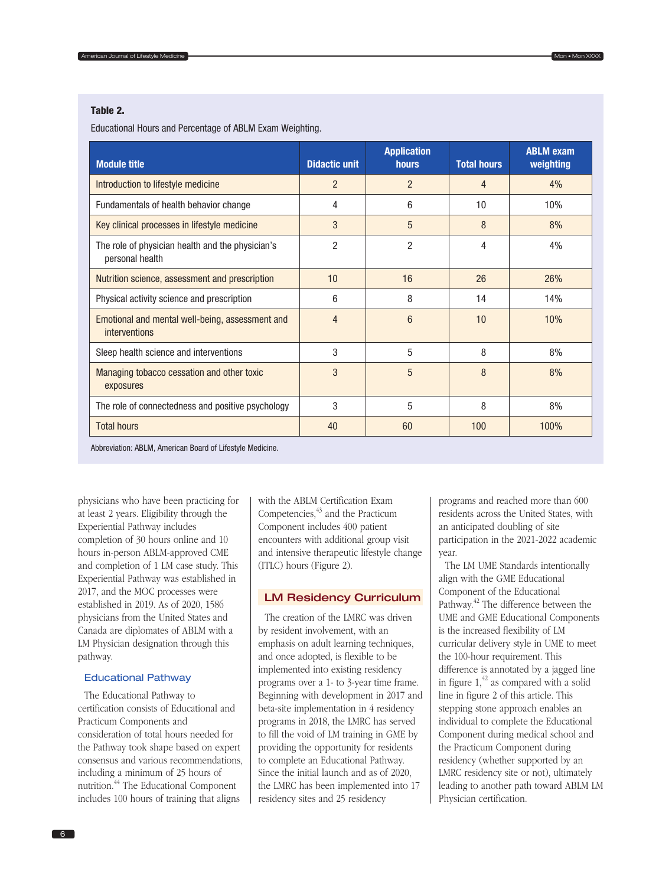## Table 2.

Educational Hours and Percentage of ABLM Exam Weighting.

| <b>Module title</b>                                                     | <b>Didactic unit</b> | <b>Application</b><br><b>hours</b> | <b>Total hours</b> | <b>ABLM exam</b><br>weighting |
|-------------------------------------------------------------------------|----------------------|------------------------------------|--------------------|-------------------------------|
| Introduction to lifestyle medicine                                      | $\overline{2}$       | $\overline{2}$                     | 4                  | 4%                            |
| Fundamentals of health behavior change                                  | 4                    | 6                                  | 10                 | 10%                           |
| Key clinical processes in lifestyle medicine                            | 3                    | 5                                  | 8                  | 8%                            |
| The role of physician health and the physician's<br>personal health     | $\overline{2}$       | $\overline{2}$                     | 4                  | 4%                            |
| Nutrition science, assessment and prescription                          | 10                   | 16                                 | 26                 | 26%                           |
| Physical activity science and prescription                              | 6                    | 8                                  | 14                 | 14%                           |
| Emotional and mental well-being, assessment and<br><i>interventions</i> | $\overline{4}$       | $6\phantom{1}$                     | 10                 | 10%                           |
| Sleep health science and interventions                                  | 3                    | 5                                  | 8                  | 8%                            |
| Managing tobacco cessation and other toxic<br>exposures                 | 3                    | 5                                  | 8                  | 8%                            |
| The role of connectedness and positive psychology                       | 3                    | 5                                  | 8                  | 8%                            |
| <b>Total hours</b>                                                      | 40                   | 60                                 | 100                | 100%                          |

Abbreviation: ABLM, American Board of Lifestyle Medicine.

physicians who have been practicing for at least 2 years. Eligibility through the Experiential Pathway includes completion of 30 hours online and 10 hours in-person ABLM-approved CME and completion of 1 LM case study. This Experiential Pathway was established in 2017, and the MOC processes were established in 2019. As of 2020, 1586 physicians from the United States and Canada are diplomates of ABLM with a LM Physician designation through this pathway.

### Educational Pathway

The Educational Pathway to certification consists of Educational and Practicum Components and consideration of total hours needed for the Pathway took shape based on expert consensus and various recommendations, including a minimum of 25 hours of nutrition.44 The Educational Component includes 100 hours of training that aligns

with the ABLM Certification Exam Competencies, $43$  and the Practicum Component includes 400 patient encounters with additional group visit and intensive therapeutic lifestyle change (ITLC) hours (Figure 2).

## LM Residency Curriculum

The creation of the LMRC was driven by resident involvement, with an emphasis on adult learning techniques, and once adopted, is flexible to be implemented into existing residency programs over a 1- to 3-year time frame. Beginning with development in 2017 and beta-site implementation in 4 residency programs in 2018, the LMRC has served to fill the void of LM training in GME by providing the opportunity for residents to complete an Educational Pathway. Since the initial launch and as of 2020, the LMRC has been implemented into 17 residency sites and 25 residency

programs and reached more than 600 residents across the United States, with an anticipated doubling of site participation in the 2021-2022 academic year.

The LM UME Standards intentionally align with the GME Educational Component of the Educational Pathway.<sup>42</sup> The difference between the UME and GME Educational Components is the increased flexibility of LM curricular delivery style in UME to meet the 100-hour requirement. This difference is annotated by a jagged line in figure  $1<sup>42</sup>$  as compared with a solid line in figure 2 of this article. This stepping stone approach enables an individual to complete the Educational Component during medical school and the Practicum Component during residency (whether supported by an LMRC residency site or not), ultimately leading to another path toward ABLM LM Physician certification.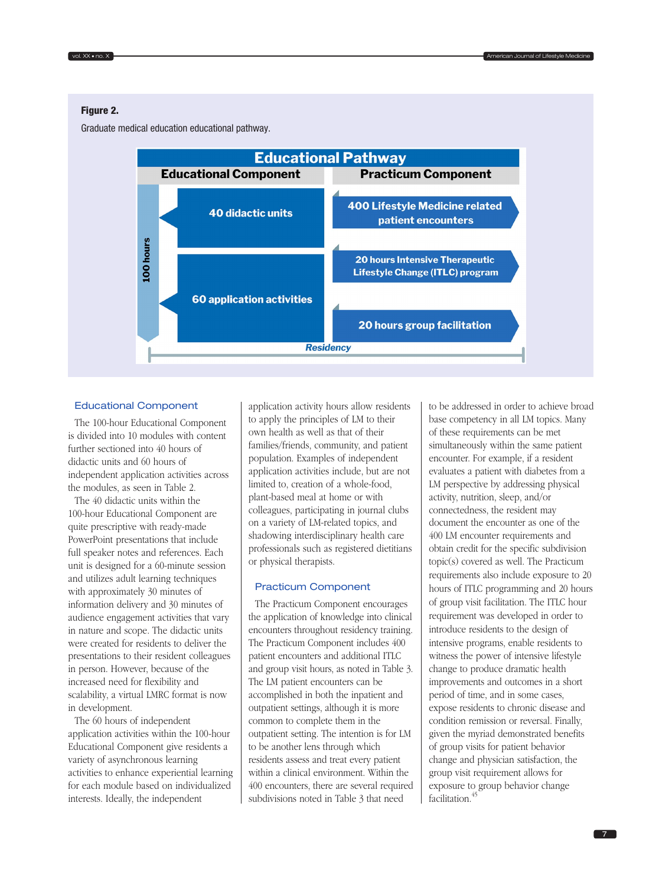## Figure 2.

Graduate medical education educational pathway.



#### Educational Component

The 100-hour Educational Component is divided into 10 modules with content further sectioned into 40 hours of didactic units and 60 hours of independent application activities across the modules, as seen in Table 2.

The 40 didactic units within the 100-hour Educational Component are quite prescriptive with ready-made PowerPoint presentations that include full speaker notes and references. Each unit is designed for a 60-minute session and utilizes adult learning techniques with approximately 30 minutes of information delivery and 30 minutes of audience engagement activities that vary in nature and scope. The didactic units were created for residents to deliver the presentations to their resident colleagues in person. However, because of the increased need for flexibility and scalability, a virtual LMRC format is now in development.

The 60 hours of independent application activities within the 100-hour Educational Component give residents a variety of asynchronous learning activities to enhance experiential learning for each module based on individualized interests. Ideally, the independent

application activity hours allow residents to apply the principles of LM to their own health as well as that of their families/friends, community, and patient population. Examples of independent application activities include, but are not limited to, creation of a whole-food, plant-based meal at home or with colleagues, participating in journal clubs on a variety of LM-related topics, and shadowing interdisciplinary health care professionals such as registered dietitians or physical therapists.

#### Practicum Component

The Practicum Component encourages the application of knowledge into clinical encounters throughout residency training. The Practicum Component includes 400 patient encounters and additional ITLC and group visit hours, as noted in Table 3. The LM patient encounters can be accomplished in both the inpatient and outpatient settings, although it is more common to complete them in the outpatient setting. The intention is for LM to be another lens through which residents assess and treat every patient within a clinical environment. Within the 400 encounters, there are several required subdivisions noted in Table 3 that need

to be addressed in order to achieve broad base competency in all LM topics. Many of these requirements can be met simultaneously within the same patient encounter. For example, if a resident evaluates a patient with diabetes from a LM perspective by addressing physical activity, nutrition, sleep, and/or connectedness, the resident may document the encounter as one of the 400 LM encounter requirements and obtain credit for the specific subdivision topic(s) covered as well. The Practicum requirements also include exposure to 20 hours of ITLC programming and 20 hours of group visit facilitation. The ITLC hour requirement was developed in order to introduce residents to the design of intensive programs, enable residents to witness the power of intensive lifestyle change to produce dramatic health improvements and outcomes in a short period of time, and in some cases, expose residents to chronic disease and condition remission or reversal. Finally, given the myriad demonstrated benefits of group visits for patient behavior change and physician satisfaction, the group visit requirement allows for exposure to group behavior change facilitation.<sup>45</sup>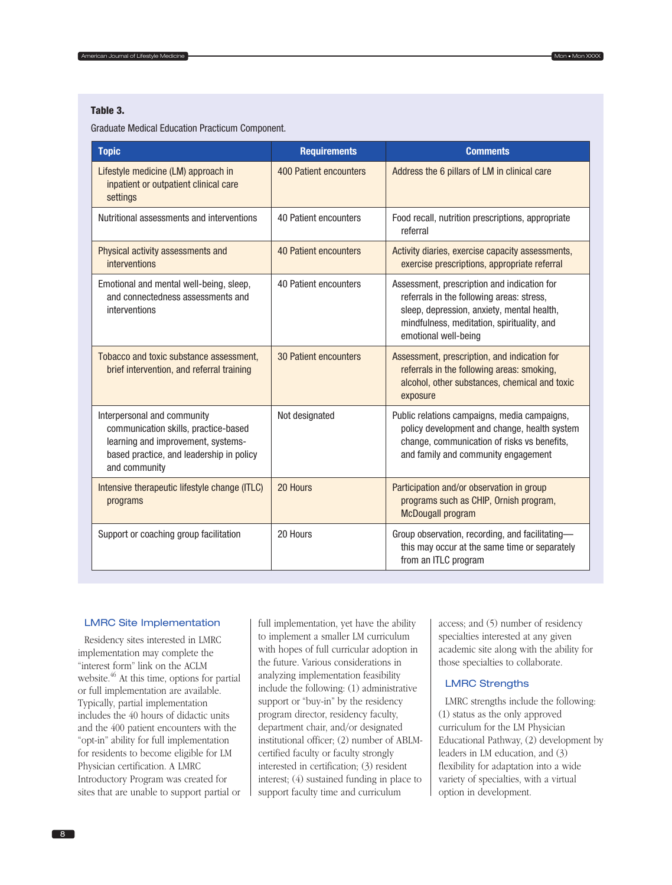## Table 3.

Graduate Medical Education Practicum Component.

| <b>Topic</b>                                                                                                                                                           | <b>Requirements</b>    | <b>Comments</b>                                                                                                                                                                                              |  |
|------------------------------------------------------------------------------------------------------------------------------------------------------------------------|------------------------|--------------------------------------------------------------------------------------------------------------------------------------------------------------------------------------------------------------|--|
| Lifestyle medicine (LM) approach in<br>inpatient or outpatient clinical care<br>settings                                                                               | 400 Patient encounters | Address the 6 pillars of LM in clinical care                                                                                                                                                                 |  |
| Nutritional assessments and interventions                                                                                                                              | 40 Patient encounters  | Food recall, nutrition prescriptions, appropriate<br>referral                                                                                                                                                |  |
| Physical activity assessments and<br>interventions                                                                                                                     | 40 Patient encounters  | Activity diaries, exercise capacity assessments,<br>exercise prescriptions, appropriate referral                                                                                                             |  |
| Emotional and mental well-being, sleep,<br>and connectedness assessments and<br>interventions                                                                          | 40 Patient encounters  | Assessment, prescription and indication for<br>referrals in the following areas: stress,<br>sleep, depression, anxiety, mental health,<br>mindfulness, meditation, spirituality, and<br>emotional well-being |  |
| Tobacco and toxic substance assessment,<br>brief intervention, and referral training                                                                                   | 30 Patient encounters  | Assessment, prescription, and indication for<br>referrals in the following areas: smoking,<br>alcohol, other substances, chemical and toxic<br>exposure                                                      |  |
| Interpersonal and community<br>communication skills, practice-based<br>learning and improvement, systems-<br>based practice, and leadership in policy<br>and community | Not designated         | Public relations campaigns, media campaigns,<br>policy development and change, health system<br>change, communication of risks vs benefits,<br>and family and community engagement                           |  |
| Intensive therapeutic lifestyle change (ITLC)<br>programs                                                                                                              | 20 Hours               | Participation and/or observation in group<br>programs such as CHIP, Ornish program,<br><b>McDougall program</b>                                                                                              |  |
| Support or coaching group facilitation                                                                                                                                 | 20 Hours               | Group observation, recording, and facilitating-<br>this may occur at the same time or separately<br>from an ITLC program                                                                                     |  |

#### LMRC Site Implementation

Residency sites interested in LMRC implementation may complete the "interest form" link on the ACLM website.<sup>46</sup> At this time, options for partial or full implementation are available. Typically, partial implementation includes the 40 hours of didactic units and the 400 patient encounters with the "opt-in" ability for full implementation for residents to become eligible for LM Physician certification. A LMRC Introductory Program was created for sites that are unable to support partial or full implementation, yet have the ability to implement a smaller LM curriculum with hopes of full curricular adoption in the future. Various considerations in analyzing implementation feasibility include the following: (1) administrative support or "buy-in" by the residency program director, residency faculty, department chair, and/or designated institutional officer; (2) number of ABLMcertified faculty or faculty strongly interested in certification; (3) resident interest; (4) sustained funding in place to support faculty time and curriculum

access; and (5) number of residency specialties interested at any given academic site along with the ability for those specialties to collaborate.

#### LMRC Strengths

LMRC strengths include the following: (1) status as the only approved curriculum for the LM Physician Educational Pathway, (2) development by leaders in LM education, and (3) flexibility for adaptation into a wide variety of specialties, with a virtual option in development.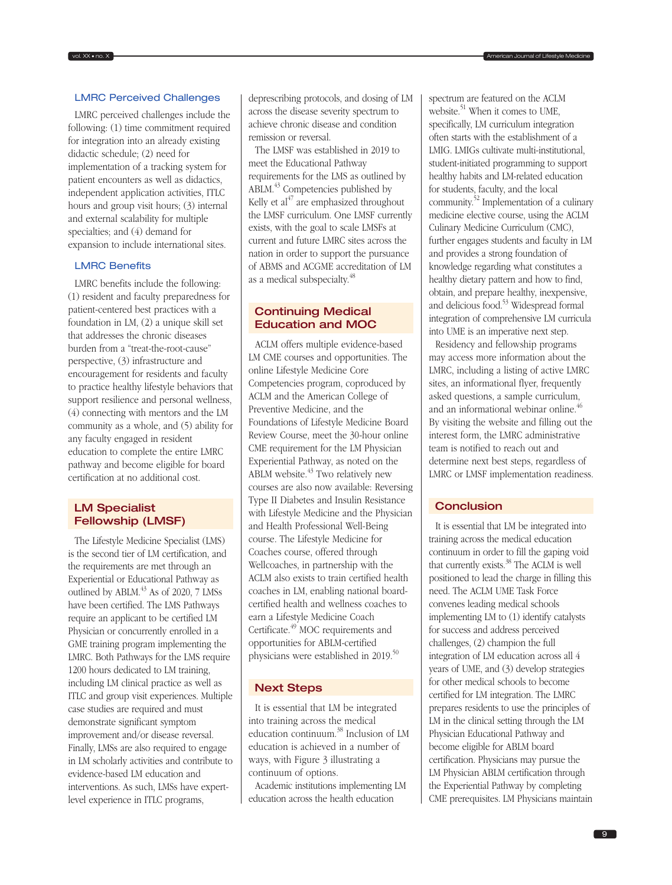## LMRC Perceived Challenges

LMRC perceived challenges include the following: (1) time commitment required for integration into an already existing didactic schedule; (2) need for implementation of a tracking system for patient encounters as well as didactics, independent application activities, ITLC hours and group visit hours; (3) internal and external scalability for multiple specialties; and (4) demand for expansion to include international sites.

#### LMRC Benefits

LMRC benefits include the following: (1) resident and faculty preparedness for patient-centered best practices with a foundation in LM, (2) a unique skill set that addresses the chronic diseases burden from a "treat-the-root-cause" perspective, (3) infrastructure and encouragement for residents and faculty to practice healthy lifestyle behaviors that support resilience and personal wellness, (4) connecting with mentors and the LM community as a whole, and (5) ability for any faculty engaged in resident education to complete the entire LMRC pathway and become eligible for board certification at no additional cost.

# LM Specialist Fellowship (LMSF)

The Lifestyle Medicine Specialist (LMS) is the second tier of LM certification, and the requirements are met through an Experiential or Educational Pathway as outlined by ABLM.<sup>43</sup> As of 2020, 7 LMSs have been certified. The LMS Pathways require an applicant to be certified LM Physician or concurrently enrolled in a GME training program implementing the LMRC. Both Pathways for the LMS require 1200 hours dedicated to LM training, including LM clinical practice as well as ITLC and group visit experiences. Multiple case studies are required and must demonstrate significant symptom improvement and/or disease reversal. Finally, LMSs are also required to engage in LM scholarly activities and contribute to evidence-based LM education and interventions. As such, LMSs have expertlevel experience in ITLC programs,

deprescribing protocols, and dosing of LM across the disease severity spectrum to achieve chronic disease and condition remission or reversal.

The LMSF was established in 2019 to meet the Educational Pathway requirements for the LMS as outlined by ABLM.43 Competencies published by Kelly et  $al^{47}$  are emphasized throughout the LMSF curriculum. One LMSF currently exists, with the goal to scale LMSFs at current and future LMRC sites across the nation in order to support the pursuance of ABMS and ACGME accreditation of LM as a medical subspecialty.48

# Continuing Medical Education and MOC

ACLM offers multiple evidence-based LM CME courses and opportunities. The online Lifestyle Medicine Core Competencies program, coproduced by ACLM and the American College of Preventive Medicine, and the Foundations of Lifestyle Medicine Board Review Course, meet the 30-hour online CME requirement for the LM Physician Experiential Pathway, as noted on the ABLM website. $43$  Two relatively new courses are also now available: Reversing Type II Diabetes and Insulin Resistance with Lifestyle Medicine and the Physician and Health Professional Well-Being course. The Lifestyle Medicine for Coaches course, offered through Wellcoaches, in partnership with the ACLM also exists to train certified health coaches in LM, enabling national boardcertified health and wellness coaches to earn a Lifestyle Medicine Coach Certificate.49 MOC requirements and opportunities for ABLM-certified physicians were established in 2019.<sup>50</sup>

## Next Steps

It is essential that LM be integrated into training across the medical education continuum.38 Inclusion of LM education is achieved in a number of ways, with Figure 3 illustrating a continuum of options.

Academic institutions implementing LM education across the health education

spectrum are featured on the ACLM website. $51$  When it comes to UME. specifically, LM curriculum integration often starts with the establishment of a LMIG. LMIGs cultivate multi-institutional, student-initiated programming to support healthy habits and LM-related education for students, faculty, and the local community.52 Implementation of a culinary medicine elective course, using the ACLM Culinary Medicine Curriculum (CMC), further engages students and faculty in LM and provides a strong foundation of knowledge regarding what constitutes a healthy dietary pattern and how to find, obtain, and prepare healthy, inexpensive, and delicious food.53 Widespread formal integration of comprehensive LM curricula into UME is an imperative next step.

Residency and fellowship programs may access more information about the LMRC, including a listing of active LMRC sites, an informational flyer, frequently asked questions, a sample curriculum, and an informational webinar online.<sup>46</sup> By visiting the website and filling out the interest form, the LMRC administrative team is notified to reach out and determine next best steps, regardless of LMRC or LMSF implementation readiness.

# **Conclusion**

It is essential that LM be integrated into training across the medical education continuum in order to fill the gaping void that currently exists.38 The ACLM is well positioned to lead the charge in filling this need. The ACLM UME Task Force convenes leading medical schools implementing LM to (1) identify catalysts for success and address perceived challenges, (2) champion the full integration of LM education across all 4 years of UME, and (3) develop strategies for other medical schools to become certified for LM integration. The LMRC prepares residents to use the principles of LM in the clinical setting through the LM Physician Educational Pathway and become eligible for ABLM board certification. Physicians may pursue the LM Physician ABLM certification through the Experiential Pathway by completing CME prerequisites. LM Physicians maintain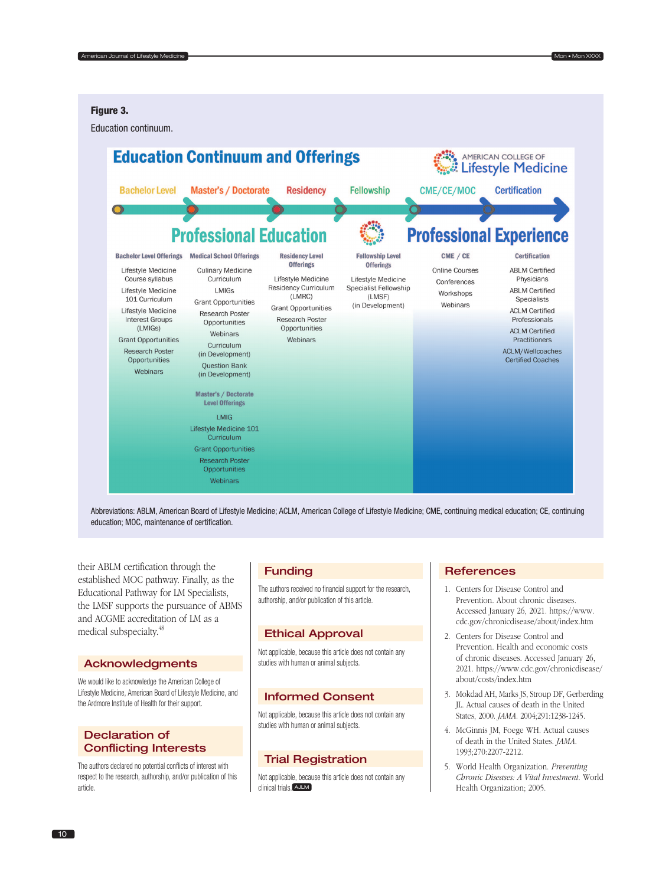## Figure 3.

Education continuum.



Abbreviations: ABLM, American Board of Lifestyle Medicine; ACLM, American College of Lifestyle Medicine; CME, continuing medical education; CE, continuing education; MOC, maintenance of certification.

their ABLM certification through the established MOC pathway. Finally, as the Educational Pathway for LM Specialists, the LMSF supports the pursuance of ABMS and ACGME accreditation of LM as a medical subspecialty.<sup>48</sup>

#### Acknowledgments

We would like to acknowledge the American College of Lifestyle Medicine, American Board of Lifestyle Medicine, and the Ardmore Institute of Health for their support.

# Declaration of Conflicting Interests

The authors declared no potential conflicts of interest with respect to the research, authorship, and/or publication of this article.

## Funding

The authors received no financial support for the research, authorship, and/or publication of this article.

#### Ethical Approval

Not applicable, because this article does not contain any studies with human or animal subjects.

### Informed Consent

Not applicable, because this article does not contain any studies with human or animal subjects.

# Trial Registration

Not applicable, because this article does not contain any clinical trials. **AJLM** 

# **References**

- 1. Centers for Disease Control and Prevention. About chronic diseases. Accessed January 26, 2021. [https://www.](https://www.cdc.gov/chronicdisease/about/index.htm) [cdc.gov/chronicdisease/about/index.htm](https://www.cdc.gov/chronicdisease/about/index.htm)
- 2. Centers for Disease Control and Prevention. Health and economic costs of chronic diseases. Accessed January 26, 2021. [https://www.cdc.gov/chronicdisease/](https://www.cdc.gov/chronicdisease/about/costs/index.htm) [about/costs/index.htm](https://www.cdc.gov/chronicdisease/about/costs/index.htm)
- 3. Mokdad AH, Marks JS, Stroup DF, Gerberding JL. Actual causes of death in the United States, 2000. *JAMA*. 2004;291:1238-1245.
- 4. McGinnis JM, Foege WH. Actual causes of death in the United States. *JAMA*. 1993;270:2207-2212.
- 5. World Health Organization. *Preventing Chronic Diseases: A Vital Investment*. World Health Organization; 2005.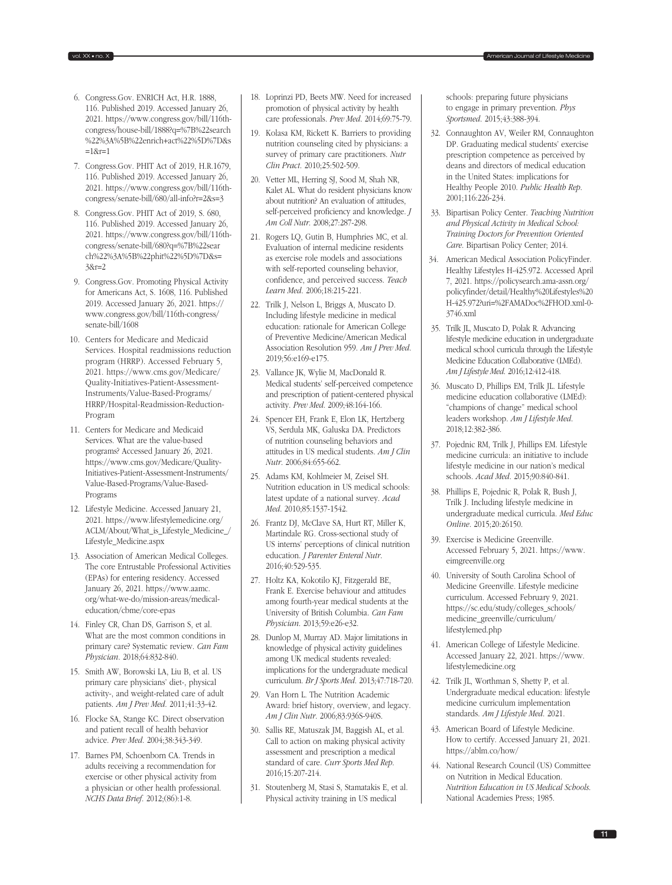- 6. Congress.Gov. ENRICH Act, H.R. 1888, 116. Published 2019. Accessed January 26, 2021. [https://www.congress.gov/bill/116th](https://www.congress.gov/bill/116th-congress/house-bill/1888?q=%7B%22search%22%3A%5B%22enrich+act%22%5D%7D&s=1&r=1)[congress/house-bill/1888?q=%7B%22search](https://www.congress.gov/bill/116th-congress/house-bill/1888?q=%7B%22search%22%3A%5B%22enrich+act%22%5D%7D&s=1&r=1) [%22%3A%5B%22enrich+act%22%5D%7D&s](https://www.congress.gov/bill/116th-congress/house-bill/1888?q=%7B%22search%22%3A%5B%22enrich+act%22%5D%7D&s=1&r=1)  $=18$ r=1
- 7. Congress.Gov. PHIT Act of 2019, H.R.1679, 116. Published 2019. Accessed January 26, 2021. [https://www.congress.gov/bill/116th](https://www.congress.gov/bill/116th-congress/senate-bill/680/all-info?r=2&s=3)[congress/senate-bill/680/all-info?r=2&s=3](https://www.congress.gov/bill/116th-congress/senate-bill/680/all-info?r=2&s=3)
- 8. Congress.Gov. PHIT Act of 2019, S. 680, 116. Published 2019. Accessed January 26, 2021. [https://www.congress.gov/bill/116th](https://www.congress.gov/bill/116th-congress/senate-bill/680?q=%7B%22search%22%3A%5B%22phit%22%5D%7D&s=3&r=2)[congress/senate-bill/680?q=%7B%22sear](https://www.congress.gov/bill/116th-congress/senate-bill/680?q=%7B%22search%22%3A%5B%22phit%22%5D%7D&s=3&r=2) [ch%22%3A%5B%22phit%22%5D%7D&s=](https://www.congress.gov/bill/116th-congress/senate-bill/680?q=%7B%22search%22%3A%5B%22phit%22%5D%7D&s=3&r=2) [3&r=2](https://www.congress.gov/bill/116th-congress/senate-bill/680?q=%7B%22search%22%3A%5B%22phit%22%5D%7D&s=3&r=2)
- 9. Congress.Gov. Promoting Physical Activity for Americans Act, S. 1608, 116. Published 2019. Accessed January 26, 2021. [https://](https://www.congress.gov/bill/116th-congress/senate-bill/1608) [www.congress.gov/bill/116th-congress/](https://www.congress.gov/bill/116th-congress/senate-bill/1608) [senate-bill/1608](https://www.congress.gov/bill/116th-congress/senate-bill/1608)
- 10. Centers for Medicare and Medicaid Services. Hospital readmissions reduction program (HRRP). Accessed February 5, 2021. [https://www.cms.gov/Medicare/](https://www.cms.gov/Medicare/Quality-Initiatives-Patient-Assessment-Instruments/Value-Based-Programs/HRRP/Hospital-Readmission-Reduction-Program) [Quality-Initiatives-Patient-Assessment-](https://www.cms.gov/Medicare/Quality-Initiatives-Patient-Assessment-Instruments/Value-Based-Programs/HRRP/Hospital-Readmission-Reduction-Program)[Instruments/Value-Based-Programs/](https://www.cms.gov/Medicare/Quality-Initiatives-Patient-Assessment-Instruments/Value-Based-Programs/HRRP/Hospital-Readmission-Reduction-Program) [HRRP/Hospital-Readmission-Reduction-](https://www.cms.gov/Medicare/Quality-Initiatives-Patient-Assessment-Instruments/Value-Based-Programs/HRRP/Hospital-Readmission-Reduction-Program)[Program](https://www.cms.gov/Medicare/Quality-Initiatives-Patient-Assessment-Instruments/Value-Based-Programs/HRRP/Hospital-Readmission-Reduction-Program)
- 11. Centers for Medicare and Medicaid Services. What are the value-based programs? Accessed January 26, 2021. [https://www.cms.gov/Medicare/Quality-](https://www.cms.gov/Medicare/Quality-Initiatives-Patient-Assessment-Instruments/Value-Based-Programs/Value-Based-Programs)[Initiatives-Patient-Assessment-Instruments/](https://www.cms.gov/Medicare/Quality-Initiatives-Patient-Assessment-Instruments/Value-Based-Programs/Value-Based-Programs) [Value-Based-Programs/Value-Based-](https://www.cms.gov/Medicare/Quality-Initiatives-Patient-Assessment-Instruments/Value-Based-Programs/Value-Based-Programs)[Programs](https://www.cms.gov/Medicare/Quality-Initiatives-Patient-Assessment-Instruments/Value-Based-Programs/Value-Based-Programs)
- 12. Lifestyle Medicine. Accessed January 21, 2021. [https://www.lifestylemedicine.org/](https://www.lifestylemedicine.org/ACLM/About/What_is_Lifestyle_Medicine_/Lifestyle_Medicine.aspx) [ACLM/About/What\\_is\\_Lifestyle\\_Medicine\\_/](https://www.lifestylemedicine.org/ACLM/About/What_is_Lifestyle_Medicine_/Lifestyle_Medicine.aspx) [Lifestyle\\_Medicine.aspx](https://www.lifestylemedicine.org/ACLM/About/What_is_Lifestyle_Medicine_/Lifestyle_Medicine.aspx)
- 13. Association of American Medical Colleges. The core Entrustable Professional Activities (EPAs) for entering residency. Accessed January 26, 2021. [https://www.aamc.](https://www.aamc.org/what-we-do/mission-areas/medical-education/cbme/core-epas) [org/what-we-do/mission-areas/medical](https://www.aamc.org/what-we-do/mission-areas/medical-education/cbme/core-epas)[education/cbme/core-epas](https://www.aamc.org/what-we-do/mission-areas/medical-education/cbme/core-epas)
- 14. Finley CR, Chan DS, Garrison S, et al. What are the most common conditions in primary care? Systematic review. *Can Fam Physician*. 2018;64:832-840.
- 15. Smith AW, Borowski LA, Liu B, et al. US primary care physicians' diet-, physical activity-, and weight-related care of adult patients. *Am J Prev Med*. 2011;41:33-42.
- 16. Flocke SA, Stange KC. Direct observation and patient recall of health behavior advice. *Prev Med*. 2004;38:343-349.
- 17. Barnes PM, Schoenborn CA. Trends in adults receiving a recommendation for exercise or other physical activity from a physician or other health professional. *NCHS Data Brief*. 2012;(86):1-8.
- 18. Loprinzi PD, Beets MW. Need for increased promotion of physical activity by health care professionals. *Prev Med*. 2014;69:75-79.
- 19. Kolasa KM, Rickett K. Barriers to providing nutrition counseling cited by physicians: a survey of primary care practitioners. *Nutr Clin Pract*. 2010;25:502-509.
- 20. Vetter ML, Herring SJ, Sood M, Shah NR, Kalet AL. What do resident physicians know about nutrition? An evaluation of attitudes, self-perceived proficiency and knowledge. *J Am Coll Nutr*. 2008;27:287-298.
- 21. Rogers LQ, Gutin B, Humphries MC, et al. Evaluation of internal medicine residents as exercise role models and associations with self-reported counseling behavior, confidence, and perceived success. *Teach Learn Med*. 2006;18:215-221.
- 22. Trilk J, Nelson L, Briggs A, Muscato D. Including lifestyle medicine in medical education: rationale for American College of Preventive Medicine/American Medical Association Resolution 959. *Am J Prev Med*. 2019;56:e169-e175.
- 23. Vallance JK, Wylie M, MacDonald R. Medical students' self-perceived competence and prescription of patient-centered physical activity. *Prev Med*. 2009;48:164-166.
- 24. Spencer EH, Frank E, Elon LK, Hertzberg VS, Serdula MK, Galuska DA. Predictors of nutrition counseling behaviors and attitudes in US medical students. *Am J Clin Nutr*. 2006;84:655-662.
- 25. Adams KM, Kohlmeier M, Zeisel SH. Nutrition education in US medical schools: latest update of a national survey. *Acad Med*. 2010;85:1537-1542.
- 26. Frantz DJ, McClave SA, Hurt RT, Miller K, Martindale RG. Cross-sectional study of US interns' perceptions of clinical nutrition education. *J Parenter Enteral Nutr*. 2016;40:529-535.
- 27. Holtz KA, Kokotilo KJ, Fitzgerald BE, Frank E. Exercise behaviour and attitudes among fourth-year medical students at the University of British Columbia. *Can Fam Physician*. 2013;59:e26-e32.
- 28. Dunlop M, Murray AD. Major limitations in knowledge of physical activity guidelines among UK medical students revealed: implications for the undergraduate medical curriculum. *Br J Sports Med*. 2013;47:718-720.
- 29. Van Horn L. The Nutrition Academic Award: brief history, overview, and legacy. *Am J Clin Nutr*. 2006;83:936S-940S.
- 30. Sallis RE, Matuszak JM, Baggish AL, et al. Call to action on making physical activity assessment and prescription a medical standard of care. *Curr Sports Med Rep*. 2016;15:207-214.
- 31. Stoutenberg M, Stasi S, Stamatakis E, et al. Physical activity training in US medical

schools: preparing future physicians to engage in primary prevention. *Phys Sportsmed*. 2015;43:388-394.

- 32. Connaughton AV, Weiler RM, Connaughton DP. Graduating medical students' exercise prescription competence as perceived by deans and directors of medical education in the United States: implications for Healthy People 2010. *Public Health Rep*. 2001;116:226-234.
- 33. Bipartisan Policy Center. *Teaching Nutrition and Physical Activity in Medical School: Training Doctors for Prevention Oriented Care*. Bipartisan Policy Center; 2014.
- 34. American Medical Association PolicyFinder. Healthy Lifestyles H-425.972. Accessed April 7, 2021. [https://policysearch.ama-assn.org/](https://policysearch.ama-assn.org/policyfinder/detail/Healthy%20Lifestyles%20H-425.972?uri=%2FAMADoc%2FHOD.xml-0-3746.xml) [policyfinder/detail/Healthy%20Lifestyles%20](https://policysearch.ama-assn.org/policyfinder/detail/Healthy%20Lifestyles%20H-425.972?uri=%2FAMADoc%2FHOD.xml-0-3746.xml) [H-425.972?uri=%2FAMADoc%2FHOD.xml-0-](https://policysearch.ama-assn.org/policyfinder/detail/Healthy%20Lifestyles%20H-425.972?uri=%2FAMADoc%2FHOD.xml-0-3746.xml) [3746.xml](https://policysearch.ama-assn.org/policyfinder/detail/Healthy%20Lifestyles%20H-425.972?uri=%2FAMADoc%2FHOD.xml-0-3746.xml)
- 35. Trilk JL, Muscato D, Polak R. Advancing lifestyle medicine education in undergraduate medical school curricula through the Lifestyle Medicine Education Collaborative (LMEd). *Am J Lifestyle Med*. 2016;12:412-418.
- 36. Muscato D, Phillips EM, Trilk JL. Lifestyle medicine education collaborative (LMEd): "champions of change" medical school leaders workshop. *Am J Lifestyle Med*. 2018;12:382-386.
- 37. Pojednic RM, Trilk J, Phillips EM. Lifestyle medicine curricula: an initiative to include lifestyle medicine in our nation's medical schools. *Acad Med*. 2015;90:840-841.
- 38. Phillips E, Pojednic R, Polak R, Bush J, Trilk J. Including lifestyle medicine in undergraduate medical curricula. *Med Educ Online*. 2015;20:26150.
- 39. Exercise is Medicine Greenville. Accessed February 5, 2021. [https://www.](https://www.eimgreenville.org) [eimgreenville.org](https://www.eimgreenville.org)
- 40. University of South Carolina School of Medicine Greenville. Lifestyle medicine curriculum. Accessed February 9, 2021. [https://sc.edu/study/colleges\\_schools/](https://sc.edu/study/colleges_schools/medicine_greenville/curriculum/lifestylemed.php) [medicine\\_greenville/curriculum/](https://sc.edu/study/colleges_schools/medicine_greenville/curriculum/lifestylemed.php) [lifestylemed.php](https://sc.edu/study/colleges_schools/medicine_greenville/curriculum/lifestylemed.php)
- 41. American College of Lifestyle Medicine. Accessed January 22, 2021. [https://www.](https://www.lifestylemedicine.org) [lifestylemedicine.org](https://www.lifestylemedicine.org)
- 42. Trilk JL, Worthman S, Shetty P, et al. Undergraduate medical education: lifestyle medicine curriculum implementation standards. *Am J Lifestyle Med*. 2021.
- 43. American Board of Lifestyle Medicine. How to certify. Accessed January 21, 2021. <https://ablm.co/how/>
- 44. National Research Council (US) Committee on Nutrition in Medical Education. *Nutrition Education in US Medical Schools*. National Academies Press; 1985.